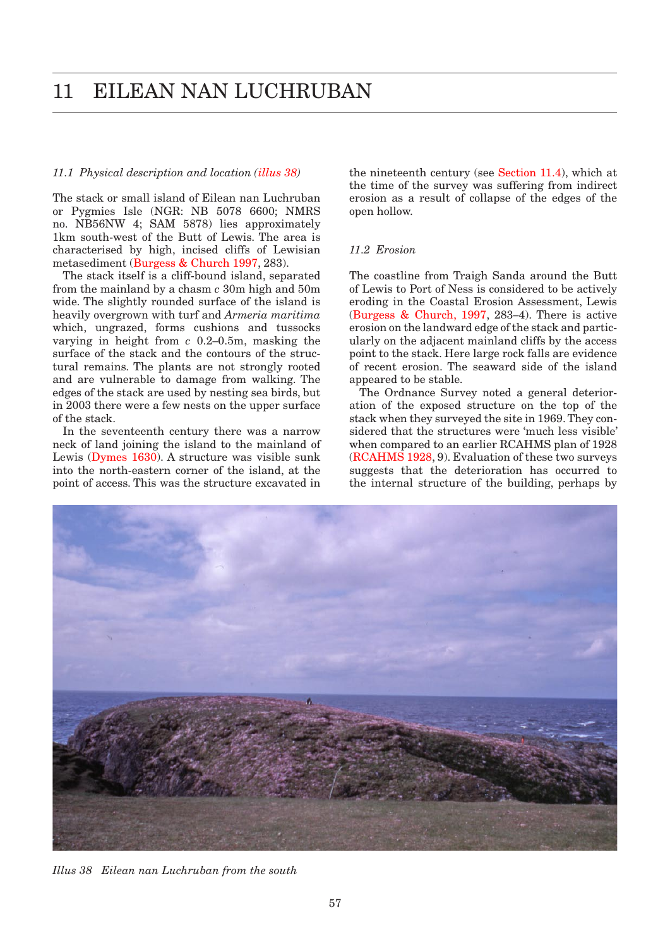## <span id="page-0-0"></span>*11.1 Physical description and location (illus 38)*

The stack or small island of Eilean nan Luchruban or Pygmies Isle (NGR: NB 5078 6600; NMRS no. NB56NW 4; SAM 5878) lies approximately 1km south-west of the Butt of Lewis. The area is characterised by high, incised cliffs of Lewisian metasediment [\(Burgess & Church 1997,](#page-1-0) 283).

The stack itself is a cliff-bound island, separated from the mainland by a chasm *c* 30m high and 50m wide. The slightly rounded surface of the island is heavily overgrown with turf and *Armeria maritima* which, ungrazed, forms cushions and tussocks varying in height from *c* 0.2–0.5m, masking the surface of the stack and the contours of the structural remains. The plants are not strongly rooted and are vulnerable to damage from walking. The edges of the stack are used by nesting sea birds, but in 2003 there were a few nests on the upper surface of the stack.

In the seventeenth century there was a narrow neck of land joining the island to the mainland of Le[wis \(Dymes 1630\). A struc](#page-1-0)ture was visible sunk into the north-eastern corner of the island, at the point of access. This was the structure excavated in

the nineteenth century (s[ee Section 11.4\), w](#page-1-0)hich at the time of the survey was suffering from indirect erosion as a result of collapse of the edges of the open hollow.

## *11.2 Erosion*

The coastline from Traigh Sanda around the Butt of Lewis to Port of Ness is considered to be actively eroding in the Coastal Erosion Assessment, Lewis (B[urgess & Church, 1997, 2](#page-1-0)83–4). There is active erosion on the landward edge of the stack and particularly on the adjacent mainland cliffs by the access point to the stack. Here large rock falls are evidence of recent erosion. The seaward side of the island appeared to be stable.

The Ordnance Survey noted a general deterioration of the exposed structure on the top of the stack when they surveyed the site in 1969. They considered that the structures were 'much less visible' when compared to an earlier RCAHMS plan of 1928 [\(RCAHMS 1928, 9](#page-2-0)). Evaluation of these two surveys suggests that the deterioration has occurred to the internal structure of the building, perhaps by



*Illus 38 Eilean nan Luchruban from the south*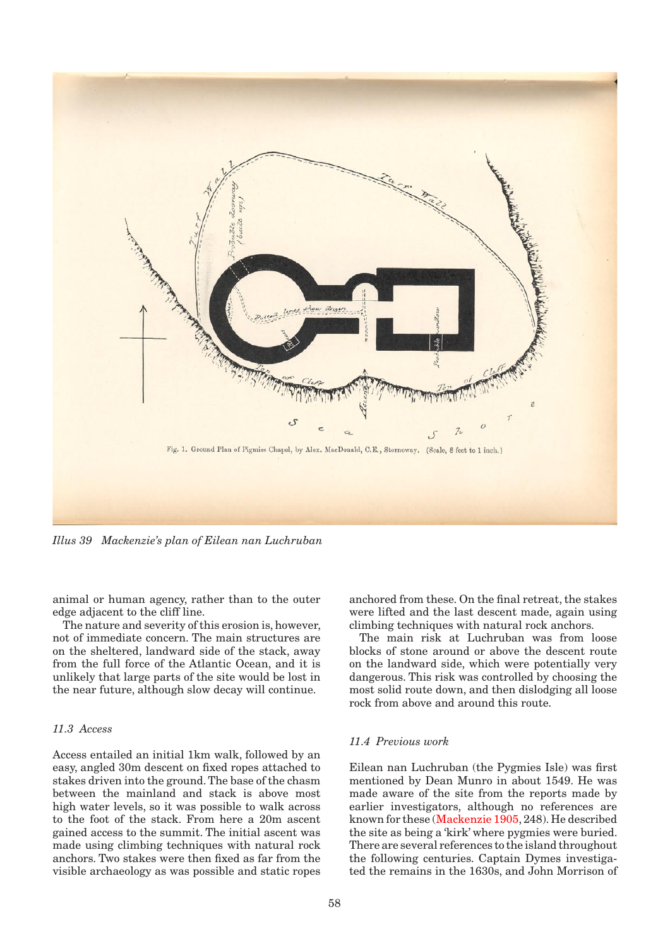<span id="page-1-0"></span>

*Illus 39 Mackenzie's plan of Eilean nan Luchruban*

animal or human agency, rather than to the outer edge adjacent to the cliff line.

The nature and severity of this erosion is, however, not of immediate concern. The main structures are on the sheltered, landward side of the stack, away from the full force of the Atlantic Ocean, and it is unlikely that large parts of the site would be lost in the near future, although slow decay will continue.

## *11.3 Access*

Access entailed an initial 1km walk, followed by an easy, angled 30m descent on fixed ropes attached to stakes driven into the ground. The base of the chasm between the mainland and stack is above most high water levels, so it was possible to walk across to the foot of the stack. From here a 20m ascent gained access to the summit. The initial ascent was made using climbing techniques with natural rock anchors. Two stakes were then fixed as far from the visible archaeology as was possible and static ropes anchored from these. On the final retreat, the stakes were lifted and the last descent made, again using climbing techniques with natural rock anchors.

The main risk at Luchruban was from loose blocks of stone around or above the descent route on the landward side, which were potentially very dangerous. This risk was controlled by choosing the most solid route down, and then dislodging all loose rock from above and around this route.

### *11.4 Previous work*

Eilean nan Luchruban (the Pygmies Isle) was first mentioned by Dean Munro in about 1549. He was made aware of the site from the reports made by earlier investigators, although no references are known for the[se \(Mackenzie 1905, 24](#page-2-0)8). He described the site as being a 'kirk' where pygmies were buried. There are several references to the island throughout the following centuries. Captain Dymes investigated the remains in the 1630s, and John Morrison of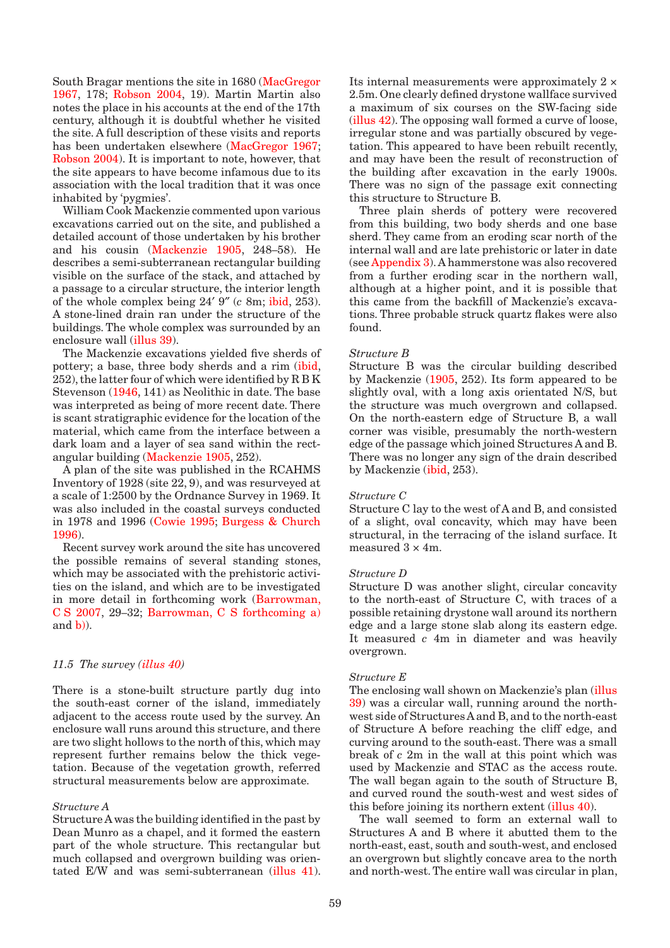<span id="page-2-0"></span>South Bragar mentions the site in 1680 (MacGregor 1967, 178; Robson 2004, 19). Martin Martin also notes the place in his accounts at the end of the 17th century, although it is doubtful whether he visited the site. A full description of these visits and reports has been undertaken elsewhere (MacGregor 1967; Robson 2004). It is important to note, however, that the site appears to have become infamous due to its association with the local tradition that it was once inhabited by 'pygmies'.

William Cook Mackenzie commented upon various excavations carried out on the site, and published a detailed account of those undertaken by his brother and his cousin (Mackenzie 1905, 248–58). He describes a semi-subterranean rectangular building visible on the surface of the stack, and attached by a passage to a circular structure, the interior length of the whole complex being 24′ 9″ (*c* 8m; ibid, 253). A stone-lined drain ran under the structure of the buildings. The whole complex was surrounded by an enclosure wa[ll \(illus 39\).](#page-1-0)

The Mackenzie excavations yielded five sherds of pottery; a base, three body sherds and a rim (ibid, 252), the latter four of which were identified by R B K Stevenson (1946, 141) as Neolithic in date. The base was interpreted as being of more recent date. There is scant stratigraphic evidence for the location of the material, which came from the interface between a dark loam and a layer of sea sand within the rectangular building (Mackenzie 1905, 252).

A plan of the site was published in the RCAHMS Inventory of 1928 (site 22, 9), and was resurveyed at a scale of 1:2500 by the Ordnance Survey in 1969. It was also included in the coastal surveys conducted in 1978 and 1996 [\(Cowie 1995; Burgess & Church](#page-1-0)  [1996\).](#page-1-0)

Recent survey work around the site has uncovered the possible remains of several standing stones, which may be associated with the prehistoric activities on the island, and which are to be investigated [in more detail in forthcoming work \(Barrowman,](#page-0-0)  C S 2007, 29–32; Barrowman, C S forthcoming a) and b)).

### *11.5 The surve[y \(illus 40\)](#page-3-0)*

There is a stone-built structure partly dug into the south-east corner of the island, immediately adjacent to the access route used by the survey. An enclosure wall runs around this structure, and there are two slight hollows to the north of this, which may represent further remains below the thick vegetation. Because of the vegetation growth, referred structural measurements below are approximate.

### *Structure A*

Structure A was the building identified in the past by Dean Munro as a chapel, and it formed the eastern part of the whole structure. This rectangular but much collapsed and overgrown building was orientated E/W and was semi-subterranea[n \(illus 41\).](#page-4-0)  Its internal measurements were approximately 2 × 2.5m. One clearly defined drystone wallface survived a maximum of six courses on the SW-facing side [\(illus 42\)](#page-4-0). The opposing wall formed a curve of loose, irregular stone and was partially obscured by vegetation. This appeared to have been rebuilt recently, and may have been the result of reconstruction of the building after excavation in the early 1900s. There was no sign of the passage exit connecting this structure to Structure B.

Three plain sherds of pottery were recovered from this building, two body sherds and one base sherd. They came from an eroding scar north of the internal wall and are late prehistoric or later in date (s[ee Appendix 3\).](#page-0-0) A hammerstone was also recovered from a further eroding scar in the northern wall, although at a higher point, and it is possible that this came from the backfill of Mackenzie's excavations. Three probable struck quartz flakes were also found.

#### *Structure B*

Structure B was the circular building described by Mackenzie (1905, 252). Its form appeared to be slightly oval, with a long axis orientated N/S, but the structure was much overgrown and collapsed. On the north-eastern edge of Structure B, a wall corner was visible, presumably the north-western edge of the passage which joined Structures A and B. There was no longer any sign of the drain described by Mackenzie (ibid, 253).

#### *Structure C*

Structure C lay to the west of A and B, and consisted of a slight, oval concavity, which may have been structural, in the terracing of the island surface. It measured 3 × 4m.

### *Structure D*

Structure D was another slight, circular concavity to the north-east of Structure C, with traces of a possible retaining drystone wall around its northern edge and a large stone slab along its eastern edge. It measured *c* 4m in diameter and was heavily overgrown.

#### *Structure E*

The enclosing wall shown on Mackenzie's p[lan \(illus](#page-1-0)  [39\) was a](#page-1-0) circular wall, running around the northwest side of Structures A and B, and to the north-east of Structure A before reaching the cliff edge, and curving around to the south-east. There was a small break of *c* 2m in the wall at this point which was used by Mackenzie and STAC as the access route. The wall began again to the south of Structure B, and curved round the south-west and west sides of this before joining its northern exten[t \(illus 40](#page-3-0)).

The wall seemed to form an external wall to Structures A and B where it abutted them to the north-east, east, south and south-west, and enclosed an overgrown but slightly concave area to the north and north-west. The entire wall was circular in plan,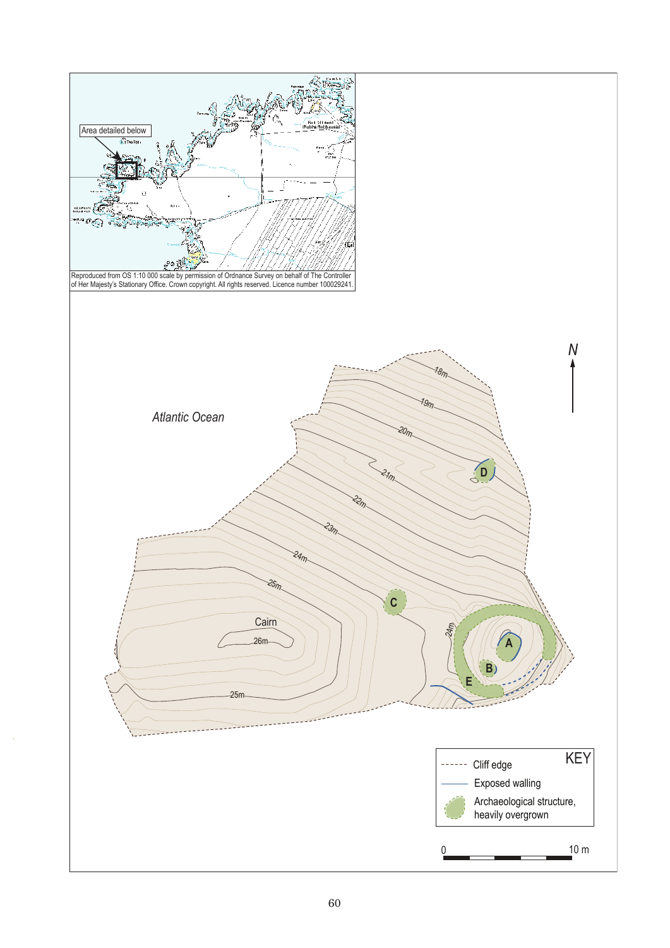<span id="page-3-0"></span>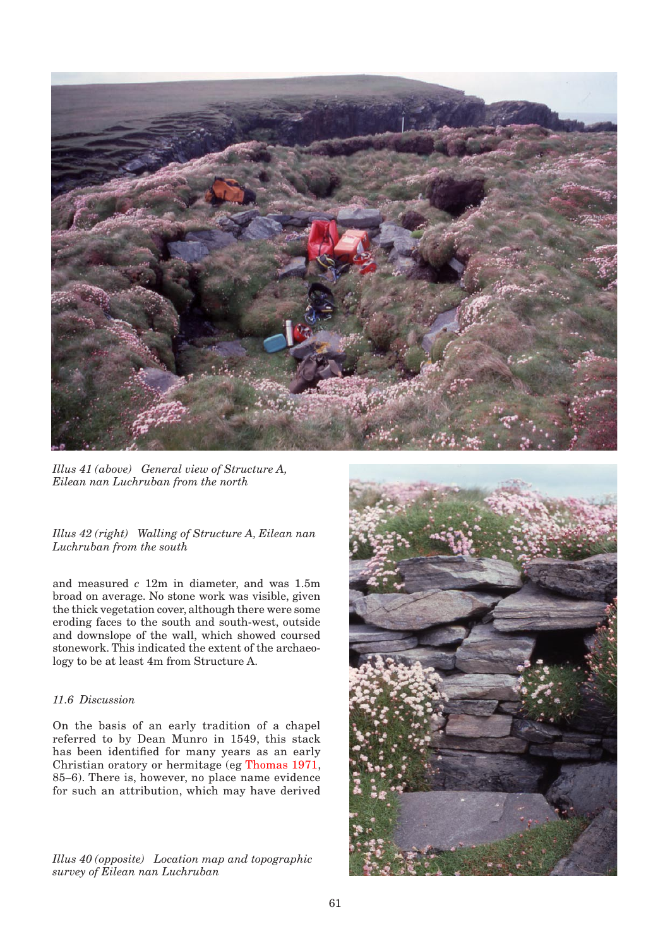<span id="page-4-0"></span>

*Illus 41 (above) General view of Structure A, Eilean nan Luchruban from the north*

## *Illus 42 (right) Walling of Structure A, Eilean nan Luchruban from the south*

and measured *c* 12m in diameter, and was 1.5m broad on average. No stone work was visible, given the thick vegetation cover, although there were some eroding faces to the south and south-west, outside and downslope of the wall, which showed coursed stonework. This indicated the extent of the archaeology to be at least 4m from Structure A.

# *11.6 Discussion*

On the basis of an early tradition of a chapel referred to by Dean Munro in 1549, this stack has been identified for many years as an early Christian oratory or hermitage (eg [Thomas 1971,](#page-2-0)  85–6). There is, however, no place name evidence for such an attribution, which may have derived

*Illus 40 (opposite) Location map and topographic survey of Eilean nan Luchruban*